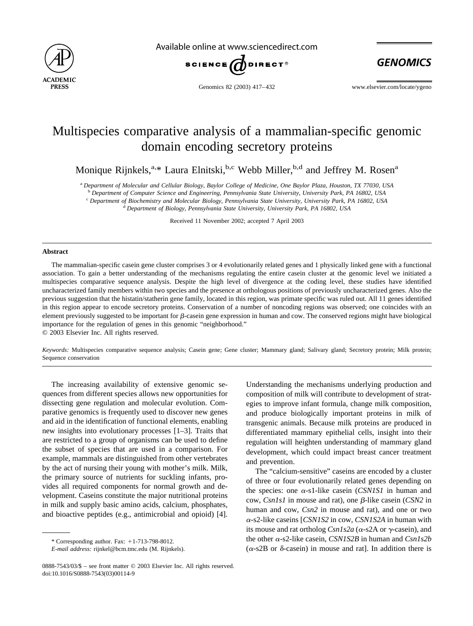

Available online at www.sciencedirect.com





Genomics 82 (2003) 417-432 www.elsevier.com/locate/ygeno

# Multispecies comparative analysis of a mammalian-specific genomic domain encoding secretory proteins

Monique Rijnkels,<sup>a,\*</sup> Laura Elnitski,<sup>b,c</sup> Webb Miller,<sup>b,d</sup> and Jeffrey M. Rosen<sup>a</sup>

<sup>a</sup> *Department of Molecular and Cellular Biology, Baylor College of Medicine, One Baylor Plaza, Houston, TX 77030, USA*

<sup>b</sup> *Department of Computer Science and Engineering, Pennsylvania State University, University Park, PA 16802, USA*

<sup>c</sup> *Department of Biochemistry and Molecular Biology, Pennsylvania State University, University Park, PA 16802, USA*

<sup>d</sup> *Department of Biology, Pennsylvania State University, University Park, PA 16802, USA*

Received 11 November 2002; accepted 7 April 2003

### **Abstract**

The mammalian-specific casein gene cluster comprises 3 or 4 evolutionarily related genes and 1 physically linked gene with a functional association. To gain a better understanding of the mechanisms regulating the entire casein cluster at the genomic level we initiated a multispecies comparative sequence analysis. Despite the high level of divergence at the coding level, these studies have identified uncharacterized family members within two species and the presence at orthologous positions of previously uncharacterized genes. Also the previous suggestion that the histatin/statherin gene family, located in this region, was primate specific was ruled out. All 11 genes identified in this region appear to encode secretory proteins. Conservation of a number of noncoding regions was observed; one coincides with an element previously suggested to be important for  $\beta$ -casein gene expression in human and cow. The conserved regions might have biological importance for the regulation of genes in this genomic "neighborhood."

© 2003 Elsevier Inc. All rights reserved.

*Keywords:* Multispecies comparative sequence analysis; Casein gene; Gene cluster; Mammary gland; Salivary gland; Secretory protein; Milk protein; Sequence conservation

The increasing availability of extensive genomic sequences from different species allows new opportunities for dissecting gene regulation and molecular evolution. Comparative genomics is frequently used to discover new genes and aid in the identification of functional elements, enabling new insights into evolutionary processes [\[1–3\].](#page-14-0) Traits that are restricted to a group of organisms can be used to define the subset of species that are used in a comparison. For example, mammals are distinguished from other vertebrates by the act of nursing their young with mother's milk. Milk, the primary source of nutrients for suckling infants, provides all required components for normal growth and development. Caseins constitute the major nutritional proteins in milk and supply basic amino acids, calcium, phosphates, and bioactive peptides (e.g., antimicrobial and opioid) [\[4\]](#page-14-0).

Understanding the mechanisms underlying production and composition of milk will contribute to development of strategies to improve infant formula, change milk composition, and produce biologically important proteins in milk of transgenic animals. Because milk proteins are produced in differentiated mammary epithelial cells, insight into their regulation will heighten understanding of mammary gland development, which could impact breast cancer treatment and prevention.

The "calcium-sensitive" caseins are encoded by a cluster of three or four evolutionarily related genes depending on the species: one  $\alpha$ -s1-like casein (*CSN1S1* in human and cow, *Csn1s1* in mouse and rat), one  $\beta$ -like casein (*CSN2* in human and cow, *Csn2* in mouse and rat), and one or two --s2-like caseins [*CSN1S2* in cow, *CSN1S2A* in human with its mouse and rat ortholog  $CsnIs2a$  ( $\alpha$ -s2A or  $\gamma$ -casein), and the other  $\alpha$ -s2-like casein, *CSN1S2B* in human and *Csn1s2b*  $(\alpha$ -s2B or  $\delta$ -casein) in mouse and rat]. In addition there is

<sup>\*</sup> Corresponding author. Fax:  $+1-713-798-8012$ .

*E-mail address:* rijnkel@bcm.tmc.edu (M. Rijnkels).

<sup>0888-7543/03/\$ –</sup> see front matter © 2003 Elsevier Inc. All rights reserved. doi:10.1016/S0888-7543(03)00114-9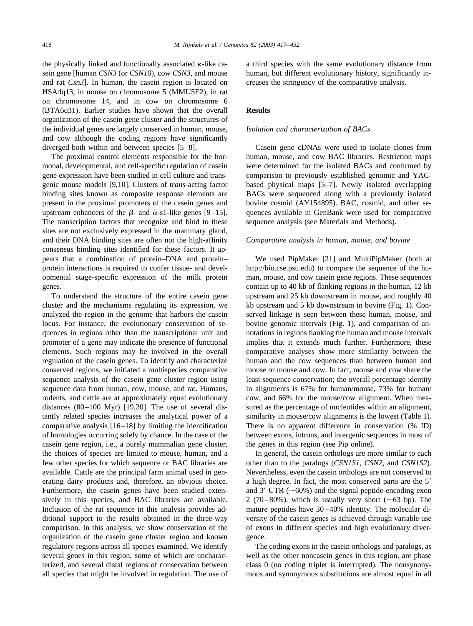the physically linked and functionally associated  $\kappa$ -like casein gene [human *CSN3* (or *CSN10*), cow *CSN3,* and mouse and rat *Csn3*]. In human, the casein region is located on HSA4q13, in mouse on chromosome 5 (MMU5E2), in rat on chromosome 14, and in cow on chromosome 6 (BTA6q31). Earlier studies have shown that the overall organization of the casein gene cluster and the structures of the individual genes are largely conserved in human, mouse, and cow although the coding regions have significantly diverged both within and between species [\[5–8\]](#page-14-0).

The proximal control elements responsible for the hormonal, developmental, and cell-specific regulation of casein gene expression have been studied in cell culture and transgenic mouse models [\[9,10\].](#page-14-0) Clusters of *trans*-acting factor binding sites known as composite response elements are present in the proximal promoters of the casein genes and upstream enhancers of the  $\beta$ - and  $\alpha$ -s1-like genes [\[9–15\]](#page-14-0). The transcription factors that recognize and bind to these sites are not exclusively expressed in the mammary gland, and their DNA binding sites are often not the high-affinity consensus binding sites identified for these factors. It appears that a combination of protein–DNA and protein– protein interactions is required to confer tissue- and developmental stage-specific expression of the milk protein genes.

To understand the structure of the entire casein gene cluster and the mechanisms regulating its expression, we analyzed the region in the genome that harbors the casein locus. For instance, the evolutionary conservation of sequences in regions other than the transcriptional unit and promoter of a gene may indicate the presence of functional elements. Such regions may be involved in the overall regulation of the casein genes. To identify and characterize conserved regions, we initiated a multispecies comparative sequence analysis of the casein gene cluster region using sequence data from human, cow, mouse, and rat. Humans, rodents, and cattle are at approximately equal evolutionary distances (80–100 Myr) [\[19,20\]](#page-14-0). The use of several distantly related species increases the analytical power of a comparative analysis [\[16–18\]](#page-14-0) by limiting the identification of homologies occurring solely by chance. In the case of the casein gene region, i.e., a purely mammalian gene cluster, the choices of species are limited to mouse, human, and a few other species for which sequence or BAC libraries are available. Cattle are the principal farm animal used in generating dairy products and, therefore, an obvious choice. Furthermore, the casein genes have been studied extensively in this species, and BAC libraries are available. Inclusion of the rat sequence in this analysis provides additional support to the results obtained in the three-way comparison. In this analysis, we show conservation of the organization of the casein gene cluster region and known regulatory regions across all species examined. We identify several genes in this region, some of which are uncharacterized, and several distal regions of conservation between all species that might be involved in regulation. The use of a third species with the same evolutionary distance from human, but different evolutionary history, significantly increases the stringency of the comparative analysis.

# **Results**

# *Isolation and characterization of BACs*

Casein gene cDNAs were used to isolate clones from human, mouse, and cow BAC libraries. Restriction maps were determined for the isolated BACs and confirmed by comparison to previously established genomic and YACbased physical maps [\[5–7\]](#page-14-0). Newly isolated overlapping BACs were sequenced along with a previously isolated bovine cosmid (AY154895). BAC, cosmid, and other sequences available in GenBank were used for comparative sequence analysis (see Materials and Methods).

# *Comparative analysis in human, mouse, and bovine*

We used PipMaker [\[21\]](#page-14-0) and MultiPipMaker (both at [http://bio.cse.psu.edu\)](http://bio.cse.psu.edu) to compare the sequence of the human, mouse, and cow casein gene regions. These sequences contain up to 40 kb of flanking regions in the human, 12 kb upstream and 25 kb downstream in mouse, and roughly 40 kb upstream and 5 kb downstream in bovine [\(Fig. 1\)](#page-2-0). Conserved linkage is seen between these human, mouse, and bovine genomic intervals [\(Fig. 1\)](#page-2-0), and comparison of annotations in regions flanking the human and mouse intervals implies that it extends much further. Furthermore, these comparative analyses show more similarity between the human and the cow sequences than between human and mouse or mouse and cow. In fact, mouse and cow share the least sequence conservation; the overall percentage identity in alignments is 67% for human/mouse, 73% for human/ cow, and 66% for the mouse/cow alignment. When measured as the percentage of nucleotides within an alignment, similarity in mouse/cow alignments is the lowest [\(Table 1\)](#page-3-0). There is no apparent difference in conservation (% ID) between exons, introns, and intergenic sequences in most of the genes in this region (see Pip online).

In general, the casein orthologs are more similar to each other than to the paralogs (*CSN1S1, CSN2,* and *CSN1S2*). Nevertheless, even the casein orthologs are not conserved to a high degree. In fact, the most conserved parts are the 5' and  $3'$  UTR ( $\sim$ 60%) and the signal peptide-encoding exon 2 (70–80%), which is usually very short ( $\sim$  63 bp). The mature peptides have 30–40% identity. The molecular diversity of the casein genes is achieved through variable use of exons in different species and high evolutionary divergence.

The coding exons in the casein orthologs and paralogs, as well as the other noncasein genes in this region, are phase class 0 (no coding triplet is interrupted). The nonsynonymous and synonymous substitutions are almost equal in all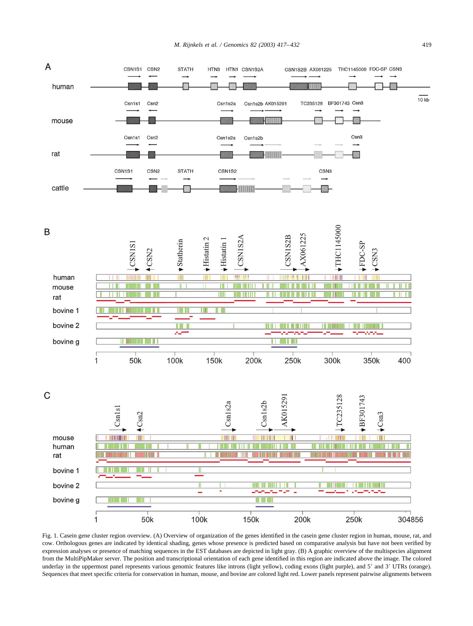<span id="page-2-0"></span>

Fig. 1. Casein gene cluster region overview. (A) Overview of organization of the genes identified in the casein gene cluster region in human, mouse, rat, and cow. Orthologous genes are indicated by identical shading, genes whose presence is predicted based on comparative analysis but have not been verified by expression analyses or presence of matching sequences in the EST databases are depicted in light gray. (B) A graphic overview of the multispecies alignment from the MultiPipMaker server. The position and transcriptional orientation of each gene identified in this region are indicated above the image. The colored underlay in the uppermost panel represents various genomic features like introns (light yellow), coding exons (light purple), and 5' and 3' UTRs (orange). Sequences that meet specific criteria for conservation in human, mouse, and bovine are colored light red. Lower panels represent pairwise alignments between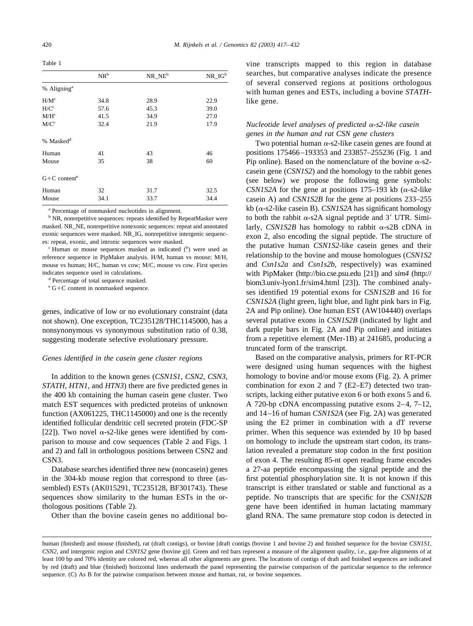<span id="page-3-0"></span>Table 1

|                            | $NR^b$ | $NR$ $NEb$ | $NR_{I}$ $IGb$ |
|----------------------------|--------|------------|----------------|
| % Aligning <sup>a</sup>    |        |            |                |
| H/M <sup>c</sup>           | 34.8   | 28.9       | 22.9           |
| H/C <sup>c</sup>           | 57.6   | 45.3       | 39.0           |
| M/H <sup>c</sup>           | 41.5   | 34.9       | 27.0           |
| $M/C^c$                    | 32.4   | 21.9       | 17.9           |
| % Masked <sup>d</sup>      |        |            |                |
| Human                      | 41     | 43         | 46             |
| Mouse                      | 35     | 38         | 60             |
| $G+C$ content <sup>e</sup> |        |            |                |
| Human                      | 32     | 31.7       | 32.5           |
| Mouse                      | 34.1   | 33.7       | 34.4           |

<sup>a</sup> Percentage of nonmasked nucleotides in alignment.

<sup>b</sup> NR, nonrepetitive sequences: repeats identified by RepeatMasker were masked. NR\_NE, nonrepetitive nonexonic sequences: repeat and annotated exonic sequences were masked. NR\_IG, nonrepetitive intergenic sequences: repeat, exonic, and intronic sequences were masked.

<sup>c</sup> Human or mouse sequences masked as indicated (b) were used as reference sequence in PipMaker analysis. H/M, human vs mouse; M/H, mouse vs human; H/C, human vs cow; M/C, mouse vs cow. First species indicates sequence used in calculations.

<sup>d</sup> Percentage of total sequence masked.

 $e$  G+C content in nonmasked sequence.

genes, indicative of low or no evolutionary constraint (data not shown). One exception, TC235128/THC1145000, has a nonsynonymous vs synonymous substitution ratio of 0.38, suggesting moderate selective evolutionary pressure.

#### *Genes identified in the casein gene cluster regions*

In addition to the known genes (*CSN1S1, CSN2, CSN3, STATH, HTN1,* and *HTN3*) there are five predicted genes in the 400 kb containing the human casein gene cluster. Two match EST sequences with predicted proteins of unknown function (AX061225, THC1145000) and one is the recently identified follicular dendritic cell secreted protein (FDC-SP [\[22\]](#page-14-0)). Two novel  $\alpha$ -s2-like genes were identified by comparison to mouse and cow sequences ([Table 2](#page-4-0) and [Figs. 1](#page-2-0) and [2\)](#page-5-0) and fall in orthologous positions between CSN2 and CSN3.

Database searches identified three new (noncasein) genes in the 304-kb mouse region that correspond to three (assembled) ESTs (AK015291, TC235128, BF301743). These sequences show similarity to the human ESTs in the orthologous positions [\(Table 2](#page-4-0)).

Other than the bovine casein genes no additional bo-

vine transcripts mapped to this region in database searches, but comparative analyses indicate the presence of several conserved regions at positions orthologous with human genes and ESTs, including a bovine *STATH*like gene.

# *Nucleotide level analyses of predicted* α-s2-like casein *genes in the human and rat CSN gene clusters*

Two potential human  $\alpha$ -s2-like casein genes are found at positions 175466–193353 and 233857–255236 ([Fig. 1](#page-2-0) and Pip online). Based on the nomenclature of the bovine  $\alpha$ -s2casein gene (*CSN1S2*) and the homology to the rabbit genes (see below) we propose the following gene symbols:  $CSNIS2A$  for the gene at positions 175–193 kb ( $\alpha$ -s2-like casein A) and *CSN1S2B* for the gene at positions 233–255 kb ( $\alpha$ -s2-like casein B). *CSN1S2A* has significant homology to both the rabbit  $\alpha$ -s2A signal peptide and 3' UTR. Similarly, *CSN1S2B* has homology to rabbit  $\alpha$ -s2B cDNA in exon 2, also encoding the signal peptide. The structure of the putative human *CSN1S2*-like casein genes and their relationship to the bovine and mouse homologues (*CSN1S2* and *Csn1s2a* and *Csn1s2b,* respectively) was examined with PipMaker [\(http://bio.cse.psu.edu](http://bio.cse.psu.edu) [\[21\]\)](#page-14-0) and *sim4* [\(http://](http://biom3.univ-lyon1.fr/sim4.html) [biom3.univ-lyon1.fr/sim4.html](http://biom3.univ-lyon1.fr/sim4.html) [\[23\]](#page-14-0)). The combined analyses identified 19 potential exons for *CSN1S2B* and 16 for *CSN1S2A* (light green, light blue, and light pink bars in [Fig.](#page-5-0) [2A](#page-5-0) and Pip online). One human EST (AW104440) overlaps several putative exons in *CSN1S2B* (indicated by light and dark purple bars in [Fig. 2A](#page-5-0) and Pip online) and initiates from a repetitive element (Mer-1B) at 241685, producing a truncated form of the transcript.

Based on the comparative analysis, primers for RT-PCR were designed using human sequences with the highest homology to bovine and/or mouse exons ([Fig. 2](#page-5-0)). A primer combination for exon 2 and 7 (E2–E7) detected two transcripts, lacking either putative exon 6 or both exons 5 and 6. A 720-bp cDNA encompassing putative exons 2–4, 7–12, and 14–16 of human *CSN1S2A* (see [Fig. 2A\)](#page-5-0) was generated using the E2 primer in combination with a dT reverse primer. When this sequence was extended by 10 bp based on homology to include the upstream start codon, its translation revealed a premature stop codon in the first position of exon 4. The resulting 85-nt open reading frame encodes a 27-aa peptide encompassing the signal peptide and the first potential phosphorylation site. It is not known if this transcript is either translated or stable and functional as a peptide. No transcripts that are specific for the *CSN1S2B* gene have been identified in human lactating mammary gland RNA. The same premature stop codon is detected in

human (finished) and mouse (finished), rat (draft contigs), or bovine [draft contigs (bovine 1 and bovine 2) and finished sequence for the bovine *CSN1S1, CSN2,* and intergenic region and *CSN1S2* gene (bovine g)]. Green and red bars represent a measure of the alignment quality, i.e., gap-free alignments of at least 100 bp and 70% identity are colored red, whereas all other alignments are green. The locations of contigs of draft and finished sequences are indicated by red (draft) and blue (finished) horizontal lines underneath the panel representing the pairwise comparison of the particular sequence to the reference sequence. (C) As B for the pairwise comparison between mouse and human, rat, or bovine sequences.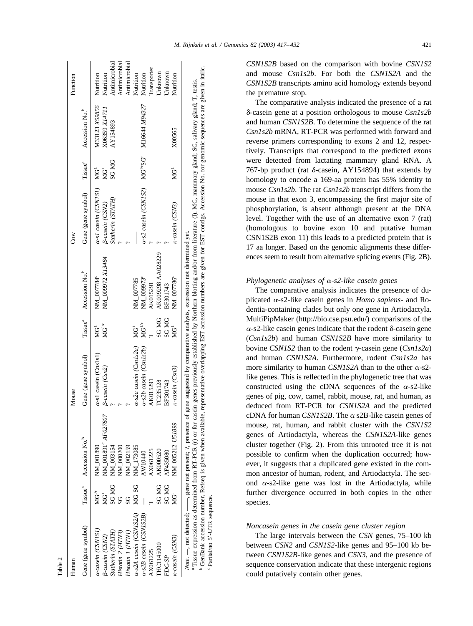<span id="page-4-0"></span>

| Human                  |                     |                            | Mouse                                          |                     |                                                | Cow                                                                  |                     |                            | Function      |
|------------------------|---------------------|----------------------------|------------------------------------------------|---------------------|------------------------------------------------|----------------------------------------------------------------------|---------------------|----------------------------|---------------|
| Gene (gene symbol)     | Tissue <sup>a</sup> | Accession No. <sup>b</sup> | Gene (gene symbol)                             |                     | Tissue <sup>ª</sup> Accession No. <sup>b</sup> | Gene (gene symbol)                                                   | Tissue <sup>a</sup> | Accession No. <sup>b</sup> |               |
| a-casein (CSN1S1       | MG <sup>kr</sup>    | NM_001890                  | $\alpha$ -s1 casein (Cns1s1)                   | MG <sup>1</sup>     | NM_007784°                                     | $\alpha$ -s1 casein (CSN1S1)                                         | MG <sup>1</sup>     | M33123 X59856              | Nutrition     |
| B-casein (CSN2)        | ġ                   | NM_001891° AF027807        | B-casein (Csn2)                                | MG <sup>1/x</sup>   | NM_009972 X13484                               | B-casein (CSN2)                                                      | .<br>М              | X06359 X14711              | Nutrition     |
| Statherin (STATH       | SG MG               | NM_003154                  |                                                |                     |                                                | Statherin (STATH)                                                    | <b>SG MG</b>        | AY154893                   | Antimicrobial |
| Histatin 2 (HTN3)      | SG                  | NM_000200                  |                                                |                     |                                                |                                                                      |                     |                            | Antimicrobial |
| Histatin 1 (HTN1)      | SS                  | NM_002159                  |                                                |                     |                                                |                                                                      |                     |                            | Antimicrobial |
| a-s2A casein (CSNIS2A) | MG SG               | NM_173085                  | $\alpha$ -s2a casein (Csn1s2a) MG <sup>1</sup> |                     | NM_007785                                      |                                                                      |                     |                            | Nutrition     |
| a-s2B casein (CSNIS2B) |                     | AW10440                    | $\alpha$ -s2b casein (CsnIs2b)                 | $\mathbf{MG}^{1/r}$ | NM_009973°                                     | a-s2 casein (CSN1S2) MG <sup>I/r</sup> SG <sup>r</sup> M16644 M94327 |                     |                            | Nutrition     |
| AX061225               |                     | AX061225                   | AK015291                                       |                     | AK015291                                       |                                                                      |                     |                            | Transporter   |
| THC1145000             | SG MG               | AK000520                   | TC235128                                       | <b>SG MG</b>        | AK009298 AA028229                              |                                                                      |                     |                            | Unknown       |
| FDC-SP                 | SG MG               | AF435080                   | BF301743                                       | SG MG               | BF301743                                       |                                                                      |                     |                            | Unknown       |
| K-casein (CSN3)        | ÙŊ.                 | NM_005212 U51899           | $\kappa$ -casein $(Csn3)$                      | MG <sup>1</sup>     | NM_007786°                                     | K-casein (CSN3)                                                      | MG <sup>1</sup>     | X00565                     | Nutrition     |

"Tissue expression as determined from RT-PCR (r) or for casein genes previously established by Northern blotting and/or from literature (1). MG, mammary gland; SG, salivary gland; T, testis.<br><sup>b</sup> GenBank accession number, R given in italic. This dependence a measure in the CR (1) of the assemblance of the Samuan and the product of the and of the state (1). MG, mammary gland; SG, sallvary gland; and the b Gendank accession number, Refseq is given when availab <sup>c</sup> Partial/no 5'-UTR sequence. -UTR sequence. *CSN1S2B* based on the comparison with bovine *CSN1S2* and mouse *Csn1s2b*. For both the *CSN1S2A* and the *CSN1S2B* transcripts amino acid homology extends beyond the premature stop.

The comparative analysis indicated the presence of a rat -casein gene at a position orthologous to mouse *Csn1s2b* and human *CSN1S2B*. To determine the sequence of the rat *Csn1s2b* mRNA, RT-PCR was performed with forward and reverse primers corresponding to exons 2 and 12, respectively. Transcripts that correspond to the predicted exons were detected from lactating mammary gland RNA. A 767-bp product (rat  $\delta$ -casein, AY154894) that extends by homology to encode a 169-aa protein has 55% identity to mouse *Csn1s2b*. The rat *Csn1s2b* transcript differs from the mouse in that exon 3, encompassing the first major site of phosphorylation, is absent although present at the DNA level. Together with the use of an alternative exon 7 (rat) (homologous to bovine exon 10 and putative human CSN1S2B exon 11) this leads to a predicted protein that is 17 aa longer. Based on the genomic alignments these differences seem to result from alternative splicing events [\(Fig. 2B](#page-5-0)).

# *Phylogenetic analyses of α-s2-like casein genes*

The comparative analysis indicates the presence of duplicated  $\alpha$ -s2-like casein genes in *Homo sapiens*- and Rodentia-containing clades but only one gene in Artiodactyla. MultiPipMaker ([http://bio.cse.psu.edu/\)](http://bio.cse.psu.edu/) comparisons of the  $\alpha$ -s2-like casein genes indicate that the rodent  $\delta$ -casein gene (*Csn1s2b*) and human *CSN1S2B* have more similarity to bovine *CSN1S2* than to the rodent  $\gamma$ -casein gene (*Csn1s2a*) and human *CSN1S2A*. Furthermore, rodent *Csn1s2a* has more similarity to human *CSN1S2A* than to the other  $\alpha$ -s2like genes. This is reflected in the phylogenetic tree that was constructed using the cDNA sequences of the  $\alpha$ -s2-like genes of pig, cow, camel, rabbit, mouse, rat, and human, as deduced from RT-PCR for *CSN1S2A* and the predicted  $cDNA$  for human *CSN1S2B*. The  $\alpha$  s2B-like casein genes of mouse, rat, human, and rabbit cluster with the *CSN1S2* genes of Artiodactyla, whereas the *CSN1S2A*-like genes cluster together [\(Fig. 2\)](#page-5-0). From this unrooted tree it is not possible to confirm when the duplication occurred; however, it suggests that a duplicated gene existed in the common ancestor of human, rodent, and Artiodactyla. The second  $\alpha$ -s2-like gene was lost in the Artiodactyla, while further divergence occurred in both copies in the other species.

### *Noncasein genes in the casein gene cluster region*

The large intervals between the *CSN* genes, 75–100 kb between *CSN2* and *CSN1S2*-like genes and 95–100 kb between *CSN1S2B*-like genes and *CSN3,* and the presence of sequence conservation indicate that these intergenic regions could putatively contain other genes.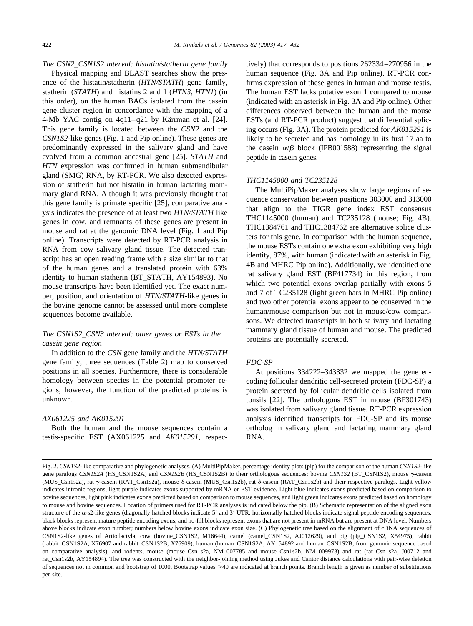# <span id="page-5-0"></span>*The CSN2\_CSN1S2 interval: histatin/statherin gene family*

Physical mapping and BLAST searches show the presence of the histatin/statherin (*HTN/STATH*) gene family, statherin (*STATH*) and histatins 2 and 1 (*HTN3, HTN1*) (in this order), on the human BACs isolated from the casein gene cluster region in concordance with the mapping of a 4-Mb YAC contig on  $4q11-q21$  by Kärrman et al. [\[24\]](#page-14-0). This gene family is located between the *CSN2* and the *CSN1S2*-like genes ([Fig. 1](#page-2-0) and Pip online). These genes are predominantly expressed in the salivary gland and have evolved from a common ancestral gene [\[25\]](#page-14-0). *STATH* and *HTN* expression was confirmed in human submandibular gland (SMG) RNA, by RT-PCR. We also detected expression of statherin but not histatin in human lactating mammary gland RNA. Although it was previously thought that this gene family is primate specific [\[25\],](#page-14-0) comparative analysis indicates the presence of at least two *HTN/STATH* like genes in cow, and remnants of these genes are present in mouse and rat at the genomic DNA level ([Fig. 1](#page-2-0) and Pip online). Transcripts were detected by RT-PCR analysis in RNA from cow salivary gland tissue. The detected transcript has an open reading frame with a size similar to that of the human genes and a translated protein with 63% identity to human statherin (BT\_STATH, AY154893). No mouse transcripts have been identified yet. The exact number, position, and orientation of *HTN/STATH*-like genes in the bovine genome cannot be assessed until more complete sequences become available.

# *The CSN1S2\_CSN3 interval: other genes or ESTs in the casein gene region*

In addition to the *CSN* gene family and the *HTN/STATH* gene family, three sequences [\(Table 2\)](#page-4-0) map to conserved positions in all species. Furthermore, there is considerable homology between species in the potential promoter regions; however, the function of the predicted proteins is unknown.

### *AX061225 and AK015291*

Both the human and the mouse sequences contain a testis-specific EST (AX061225 and *AK015291,* respectively) that corresponds to positions 262334–270956 in the human sequence [\(Fig. 3A](#page-7-0) and Pip online). RT-PCR confirms expression of these genes in human and mouse testis. The human EST lacks putative exon 1 compared to mouse (indicated with an asterisk in [Fig. 3A](#page-7-0) and Pip online). Other differences observed between the human and the mouse ESTs (and RT-PCR product) suggest that differential splicing occurs ([Fig. 3A](#page-7-0)). The protein predicted for *AK015291* is likely to be secreted and has homology in its first 17 aa to the casein  $\alpha/\beta$  block (IPB001588) representing the signal peptide in casein genes.

# *THC1145000 and TC235128*

The MultiPipMaker analyses show large regions of sequence conservation between positions 303000 and 313000 that align to the TIGR gene index EST consensus THC1145000 (human) and TC235128 (mouse; [Fig. 4B\)](#page-7-0). THC1384761 and THC1384762 are alternative splice clusters for this gene. In comparison with the human sequence, the mouse ESTs contain one extra exon exhibiting very high identity, 87%, with human (indicated with an asterisk in [Fig.](#page-7-0) [4B](#page-7-0) and MHRC Pip online). Additionally, we identified one rat salivary gland EST (BF417734) in this region, from which two potential exons overlap partially with exons 5 and 7 of TC235128 (light green bars in MHRC Pip online) and two other potential exons appear to be conserved in the human/mouse comparison but not in mouse/cow comparisons. We detected transcripts in both salivary and lactating mammary gland tissue of human and mouse. The predicted proteins are potentially secreted.

### *FDC-SP*

At positions 334222–343332 we mapped the gene encoding follicular dendritic cell-secreted protein (FDC-SP) a protein secreted by follicular dendritic cells isolated from tonsils [\[22\].](#page-14-0) The orthologous EST in mouse (BF301743) was isolated from salivary gland tissue. RT-PCR expression analysis identified transcripts for FDC-SP and its mouse ortholog in salivary gland and lactating mammary gland RNA.

Fig. 2. *CSN1S2*-like comparative and phylogenetic analyses. (A) MultiPipMaker, percentage identity plots (pip) for the comparison of the human *CSN1S2*-like gene paralogs *CSN1S2A* (HS\_CSN1S2A) and *CSN1S2B* (HS\_CSN1S2B) to their orthologous sequences: bovine *CSN1S2* (BT\_CSN1S2), mouse  $\gamma$ -casein (MUS\_Csn1s2a), rat  $\gamma$ -casein (RAT\_Csn1s2a), mouse  $\delta$ -casein (MUS\_Csn1s2b), rat  $\delta$ -casein (RAT\_Csn1s2b) and their respective paralogs. Light yellow indicates intronic regions, light purple indicates exons supported by mRNA or EST evidence. Light blue indicates exons predicted based on comparison to bovine sequences, light pink indicates exons predicted based on comparison to mouse sequences, and light green indicates exons predicted based on homology to mouse and bovine sequences. Location of primers used for RT-PCR analyses is indicated below the pip. (B) Schematic representation of the aligned exon structure of the  $\alpha$ -s2-like genes (diagonally hatched blocks indicate 5' and 3' UTR, horizontally hatched blocks indicate signal peptide encoding sequences, black blocks represent mature peptide encoding exons, and no-fill blocks represent exons that are not present in mRNA but are present at DNA level. Numbers above blocks indicate exon number; numbers below bovine exons indicate exon size. (C) Phylogenetic tree based on the alignment of cDNA sequences of CSN1S2-like genes of Artiodactyla, cow (bovine\_CSN1S2, M16644), camel (camel\_CSN1S2, AJ012629), and pig (pig\_CSN1S2, X54975); rabbit (rabbit\_CSN1S2A, X76907 and rabbit\_CSN1S2B, X76909); human (human\_CSN1S2A, AY154892 and human\_CSN1S2B, from genomic sequence based on comparative analysis); and rodents, mouse (mouse\_Csn1s2a, NM\_007785 and mouse\_Csn1s2b, NM\_009973) and rat (rat\_Csn1s2a, J00712 and rat\_Csn1s2b, AY154894). The tree was constructed with the neighbor-joining method using Jukes and Cantor distance calculations with pair-wise deletion of sequences not in common and bootstrap of 1000. Bootstrap values >40 are indicated at branch points. Branch length is given as number of substitutions per site.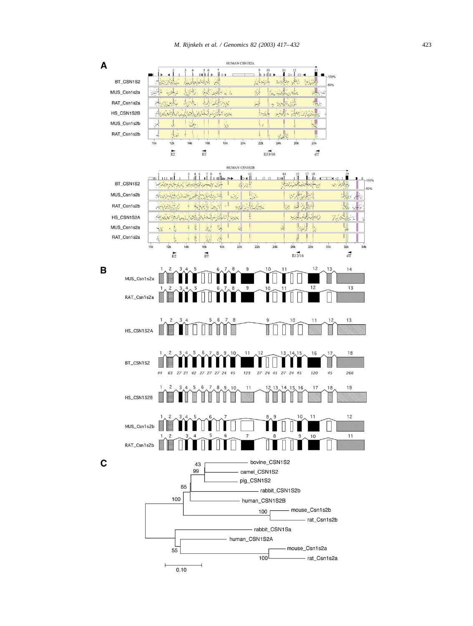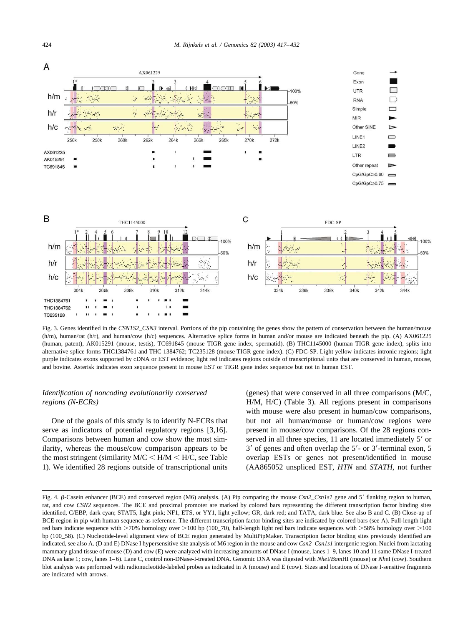<span id="page-7-0"></span>

Fig. 3. Genes identified in the *CSN1S2\_CSN3* interval. Portions of the pip containing the genes show the pattern of conservation between the human/mouse (h/m), human/rat (h/r), and human/cow (h/c) sequences. Alternative splice forms in human and/or mouse are indicated beneath the pip. (A) AX061225 (human, patent), AK015291 (mouse, testis), TC691845 (mouse TIGR gene index, spermatid). (B) THC1145000 (human TIGR gene index), splits into alternative splice forms THC1384761 and THC 1384762; TC235128 (mouse TIGR gene index). (C) FDC-SP. Light yellow indicates intronic regions; light purple indicates exons supported by cDNA or EST evidence; light red indicates regions outside of transcriptional units that are conserved in human, mouse, and bovine. Asterisk indicates exon sequence present in mouse EST or TIGR gene index sequence but not in human EST.

# *Identification of noncoding evolutionarily conserved regions (N-ECRs)*

One of the goals of this study is to identify N-ECRs that serve as indicators of potential regulatory regions [\[3,16\]](#page-14-0). Comparisons between human and cow show the most similarity, whereas the mouse/cow comparison appears to be the most stringent (similarity  $M/C < H/M < H/C$ , see [Table](#page-3-0) [1\)](#page-3-0). We identified 28 regions outside of transcriptional units (genes) that were conserved in all three comparisons (M/C, H/M, H/C) [\(Table 3](#page-9-0)). All regions present in comparisons with mouse were also present in human/cow comparisons, but not all human/mouse or human/cow regions were present in mouse/cow comparisons. Of the 28 regions conserved in all three species, 11 are located immediately 5' or 3' of genes and often overlap the 5'- or 3'-terminal exon, 5 overlap ESTs or genes not present/identified in mouse (AA865052 unspliced EST, *HTN* and *STATH*, not further

Fig. 4. β-Casein enhancer (BCE) and conserved region (M6) analysis. (A) Pip comparing the mouse *Csn2\_Csn1s1* gene and 5' flanking region to human, rat, and cow CSN2 sequences. The BCE and proximal promoter are marked by colored bars representing the different transcription factor binding sites identified, C/EBP, dark cyan; STAT5, light pink; NF1, ETS, or YY1, light yellow; GR, dark red; and TATA, dark blue. See also B and C. (B) Close-up of BCE region in pip with human sequence as reference. The different transcription factor binding sites are indicated by colored bars (see A). Full-length light red bars indicate sequence with  $>70\%$  homology over  $>100$  bp (100\_70), half-length light red bars indicate sequences with  $>58\%$  homology over  $>100$ bp (100\_58). (C) Nucleotide-level alignment view of BCE region generated by MultiPipMaker. Transcription factor binding sites previously identified are indicated, see also A. (D and E) DNase I hypersensitive site analysis of M6 region in the mouse and cow *Csn2\_Csn1s1* intergenic region. Nuclei from lactating mammary gland tissue of mouse (D) and cow (E) were analyzed with increasing amounts of DNase I (mouse, lanes 1–9, lanes 10 and 11 same DNase I-treated DNA as lane 1; cow, lanes 1–6). Lane C, control non-DNase-I-treated DNA. Genomic DNA was digested with *Nhe*I/*Bam*HI (mouse) or *Nhe*I (cow). Southern blot analysis was performed with radionucleotide-labeled probes as indicated in A (mouse) and E (cow). Sizes and locations of DNase I-sensitive fragments are indicated with arrows.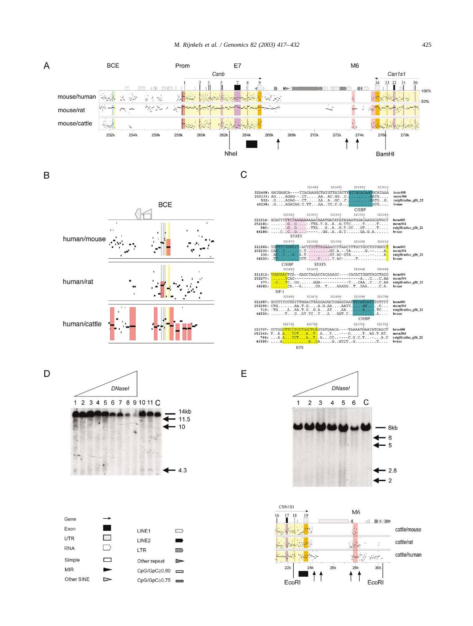



|   | LINE1             | $\rightarrow$                    |
|---|-------------------|----------------------------------|
|   | LINE <sub>2</sub> |                                  |
|   | <b>LTR</b>        |                                  |
| П | Other repeat      |                                  |
|   |                   |                                  |
|   | CpG/GpC≥0.75      | $\overline{\phantom{a}}$         |
|   |                   | $CpG/GpC20.60$ $\longrightarrow$ |

**DNasel**  $\mathsf{C}$  $\overline{3}$  $\overline{2}$ 4 5 6  $\mathbf{1}$  $-8kb$ 6 5  $-2.8$  $\overline{2}$ 

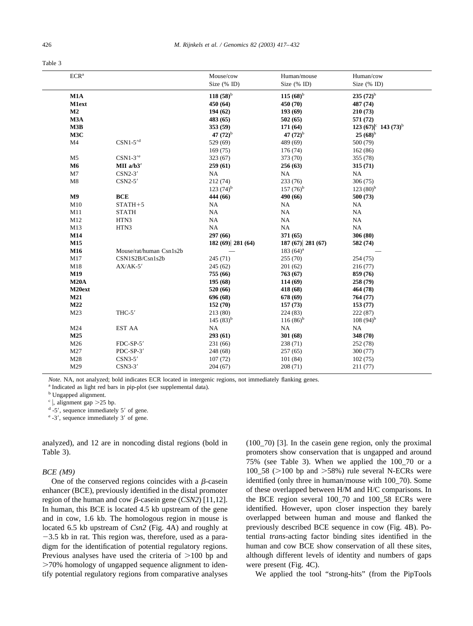<span id="page-9-0"></span>

|--|--|

| $\rm ECR^a$    |                         | Mouse/cow          | Human/mouse          | Human/cow                            |
|----------------|-------------------------|--------------------|----------------------|--------------------------------------|
|                |                         | Size $(\%$ ID)     | Size $(\%$ ID)       | Size (% ID)                          |
| M1A            |                         | $118(58)^{b}$      | $115(68)^{b}$        | $235(72)^{b}$                        |
| <b>M1ext</b>   |                         | 450 (64)           | 450 (70)             | 487 (74)                             |
| M2             |                         | 194(62)            | 193(69)              | 210(73)                              |
| M3A            |                         | 483 (65)           | 502(65)              | 571 (72)                             |
| M3B            |                         | 353(59)            | 171 (64)             | $123(67)^{\circ}$ 143 $(73)^{\circ}$ |
| M3C            |                         | 47 $(72)^{b}$      | 47 $(72)^{b}$        | $25(68)$ <sup>b</sup>                |
| $\mathbf{M}4$  | $CSN1-5'$ <sup>d</sup>  | 529 (69)           | 489 (69)             | 500 (79)                             |
|                |                         | 169(75)            | 176 (74)             | 162(86)                              |
| M <sub>5</sub> | $CSN1-3'$ <sup>e</sup>  | 323 (67)           | 373 (70)             | 355 (78)                             |
| M6             | MII $a/b3'$             | 259(61)            | 256(63)              | 315(71)                              |
| M <sub>7</sub> | $CSN2-3'$               | NA                 | NA                   | NA                                   |
| M8             | $CSN2-5'$               | 212(74)            | 233 (76)             | 306(75)                              |
|                |                         | $123(74)^{b}$      | $157(76)^{b}$        | $123(80)$ <sup>b</sup>               |
| M <sub>9</sub> | <b>BCE</b>              | 444 (66)           | 490 (66)             | 500 (73)                             |
| M10            | $STATH+5$               | NA                 | NA                   | NA                                   |
| M11            | <b>STATH</b>            | NA                 | NA                   | NA                                   |
| M12            | HTN3                    | $\rm NA$           | $\rm NA$             | NA                                   |
| M13            | HTN3                    | NA                 | NA                   | NA                                   |
| M14            |                         | 297 (66)           | 371 (65)             | 306 (80)                             |
| M15            |                         | $182(69)$ 281 (64) | $187(67)$ 281 $(67)$ | 582 (74)                             |
| M16            | Mouse/rat/human Csn1s2b |                    | 183 $(64)^a$         |                                      |
| M17            | CSN1S2B/Csn1s2b         | 245 (71)           | 255(70)              | 254(75)                              |
| M18            | $AX/AK-5'$              | 245 (62)           | 201(62)              | 216 (77)                             |
| M19            |                         | 755 (66)           | 763 (67)             | 859 (76)                             |
| M20A           |                         | 195 (68)           | 114 (69)             | 258 (79)                             |
| M20ext         |                         | 520 (66)           | 418 (68)             | 464 (78)                             |
| <b>M21</b>     |                         | 696 (68)           | 678 (69)             | 764 (77)                             |
| M22            |                         | 152(70)            | 157(73)              | 153(77)                              |
| M23            | THC-5'                  | 213 (80)           | 224(83)              | 222(87)                              |
|                |                         | $145(83)^{b}$      | $116(86)^{b}$        | $108(94)^{b}$                        |
| M24            | EST AA                  | NA                 | NA                   | NA                                   |
| M25            |                         | 293(61)            | 301 (68)             | 348 (70)                             |
| M26            | FDC-SP-5'               | 231 (66)           | 238 (71)             | 252 (78)                             |
| M27            | PDC-SP-3'               | 248 (68)           | 257(65)              | 300 (77)                             |
| M28            | $CSN3-5'$               | 107(72)            | 101(84)              | 102(75)                              |
| M29            | CSN3-3'                 | 204(67)            | 208 (71)             | 211 (77)                             |
|                |                         |                    |                      |                                      |

*Note.* NA, not analyzed; bold indicates ECR located in intergenic regions, not immediately flanking genes.

<sup>a</sup> Indicated as light red bars in pip-plot (see supplemental data).

**b** Ungapped alignment.

 $c$ , alignment gap  $>$ 25 bp.

 $d - 5'$ , sequence immediately  $5'$  of gene.

e -3', sequence immediately 3' of gene.

analyzed), and 12 are in noncoding distal regions (bold in Table 3).

# *BCE (M9)*

One of the conserved regions coincides with a  $\beta$ -casein enhancer (BCE), previously identified in the distal promoter region of the human and cow  $\beta$ -casein gene (*CSN2*) [\[11,12\]](#page-14-0). In human, this BCE is located 4.5 kb upstream of the gene and in cow, 1.6 kb. The homologous region in mouse is located 6.5 kb upstream of *Csn2* [\(Fig. 4A\)](#page-7-0) and roughly at  $-3.5$  kb in rat. This region was, therefore, used as a paradigm for the identification of potential regulatory regions. Previous analyses have used the criteria of  $>100$  bp and 70% homology of ungapped sequence alignment to identify potential regulatory regions from comparative analyses

(100\_70) [\[3\]](#page-14-0). In the casein gene region, only the proximal promoters show conservation that is ungapped and around 75% (see Table 3). When we applied the 100\_70 or a 100\_58 ( $>$ 100 bp and  $>$ 58%) rule several N-ECRs were identified (only three in human/mouse with 100\_70). Some of these overlapped between H/M and H/C comparisons. In the BCE region several 100\_70 and 100\_58 ECRs were identified. However, upon closer inspection they barely overlapped between human and mouse and flanked the previously described BCE sequence in cow [\(Fig. 4B](#page-7-0)). Potential *trans*-acting factor binding sites identified in the human and cow BCE show conservation of all these sites, although different levels of identity and numbers of gaps were present ([Fig. 4C\)](#page-7-0).

We applied the tool "strong-hits" (from the PipTools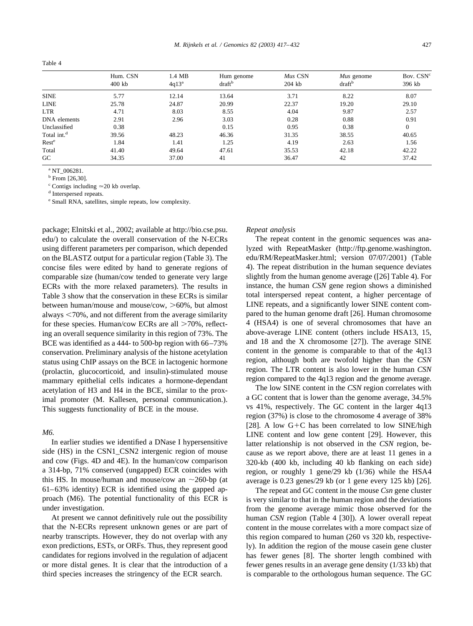|                         | Hum. CSN<br>$400$ kb | 1.4 MB<br>$4q13^a$ | Hum genome<br>draft <sup>b</sup> | Mus CSN<br>$204$ kb | Mus genome<br>draft <sup>b</sup> | Bov. CSN <sup>c</sup><br>396 kb |
|-------------------------|----------------------|--------------------|----------------------------------|---------------------|----------------------------------|---------------------------------|
| <b>SINE</b>             | 5.77                 | 12.14              | 13.64                            | 3.71                | 8.22                             | 8.07                            |
| <b>LINE</b>             | 25.78                | 24.87              | 20.99                            | 22.37               | 19.20                            | 29.10                           |
| <b>LTR</b>              | 4.71                 | 8.03               | 8.55                             | 4.04                | 9.87                             | 2.57                            |
| DNA elements            | 2.91                 | 2.96               | 3.03                             | 0.28                | 0.88                             | 0.91                            |
| Unclassified            | 0.38                 |                    | 0.15                             | 0.95                | 0.38                             | $\overline{0}$                  |
| Total int. <sup>d</sup> | 39.56                | 48.23              | 46.36                            | 31.35               | 38.55                            | 40.65                           |
| Rest <sup>e</sup>       | 1.84                 | 1.41               | 1.25                             | 4.19                | 2.63                             | 1.56                            |
| Total                   | 41.40                | 49.64              | 47.61                            | 35.53               | 42.18                            | 42.22                           |
| GC.                     | 34.35                | 37.00              | 41                               | 36.47               | 42                               | 37.42                           |

<sup>a</sup> NT\_006281.

 $<sup>b</sup>$  From [\[26,30](#page-14-0)].</sup>

 $\text{c}$  Contigs including  $\simeq$  20 kb overlap.

<sup>d</sup> Interspersed repeats.

<sup>e</sup> Small RNA, satellites, simple repeats, low complexity.

package; Elnitski et al., 2002; available at [http://bio.cse.psu.](http://bio.cse.psu.edu/) [edu/\)](http://bio.cse.psu.edu/) to calculate the overall conservation of the N-ECRs using different parameters per comparison, which depended on the BLASTZ output for a particular region [\(Table 3](#page-9-0)). The concise files were edited by hand to generate regions of comparable size (human/cow tended to generate very large ECRs with the more relaxed parameters). The results in [Table 3](#page-9-0) show that the conservation in these ECRs is similar between human/mouse and mouse/cow,  $>60\%$ , but almost always  $\leq 70\%$ , and not different from the average similarity for these species. Human/cow ECRs are all  $>70\%$ , reflecting an overall sequence similarity in this region of 73%. The BCE was identified as a 444- to 500-bp region with 66–73% conservation. Preliminary analysis of the histone acetylation status using ChIP assays on the BCE in lactogenic hormone (prolactin, glucocorticoid, and insulin)-stimulated mouse mammary epithelial cells indicates a hormone-dependant acetylation of H3 and H4 in the BCE, similar to the proximal promoter (M. Kallesen, personal communication.). This suggests functionality of BCE in the mouse.

### *M6.*

In earlier studies we identified a DNase I hypersensitive side (HS) in the CSN1\_CSN2 intergenic region of mouse and cow [\(Figs. 4D and 4E](#page-7-0)). In the human/cow comparison a 314-bp, 71% conserved (ungapped) ECR coincides with this HS. In mouse/human and mouse/cow an  $\sim$ 260-bp (at 61–63% identity) ECR is identified using the gapped approach (M6). The potential functionality of this ECR is under investigation.

At present we cannot definitively rule out the possibility that the N-ECRs represent unknown genes or are part of nearby transcripts. However, they do not overlap with any exon predictions, ESTs, or ORFs. Thus, they represent good candidates for regions involved in the regulation of adjacent or more distal genes. It is clear that the introduction of a third species increases the stringency of the ECR search.

# *Repeat analysis*

The repeat content in the genomic sequences was analyzed with RepeatMasker [\(http://ftp.genome.washington.](http://ftp.genome.washington.edu/RM/RepeatMasker.html) [edu/RM/RepeatMasker.html;](http://ftp.genome.washington.edu/RM/RepeatMasker.html) version 07/07/2001) (Table 4). The repeat distribution in the human sequence deviates slightly from the human genome average ([\[26\]](#page-14-0) Table 4). For instance, the human *CSN* gene region shows a diminished total interspersed repeat content, a higher percentage of LINE repeats, and a significantly lower SINE content compared to the human genome draft [\[26\]](#page-14-0). Human chromosome 4 (HSA4) is one of several chromosomes that have an above-average LINE content (others include HSA13, 15, and 18 and the X chromosome [\[27\]](#page-14-0)). The average SINE content in the genome is comparable to that of the 4q13 region, although both are twofold higher than the *CSN* region. The LTR content is also lower in the human *CSN* region compared to the 4q13 region and the genome average.

The low SINE content in the *CSN* region correlates with a GC content that is lower than the genome average, 34.5% vs 41%, respectively. The GC content in the larger 4q13 region (37%) is close to the chromosome 4 average of 38% [\[28\]](#page-14-0). A low  $G + C$  has been correlated to low SINE/high LINE content and low gene content [\[29\]](#page-15-0). However, this latter relationship is not observed in the *CSN* region, because as we report above, there are at least 11 genes in a 320-kb (400 kb, including 40 kb flanking on each side) region, or roughly 1 gene/29 kb (1/36) while the HSA4 average is 0.23 genes/29 kb (or 1 gene every 125 kb) [\[26\]](#page-14-0).

The repeat and GC content in the mouse *Csn* gene cluster is very similar to that in the human region and the deviations from the genome average mimic those observed for the human *CSN* region (Table 4 [\[30\]\)](#page-15-0). A lower overall repeat content in the mouse correlates with a more compact size of this region compared to human (260 vs 320 kb, respectively). In addition the region of the mouse casein gene cluster has fewer genes [\[8\].](#page-14-0) The shorter length combined with fewer genes results in an average gene density (1/33 kb) that is comparable to the orthologous human sequence. The GC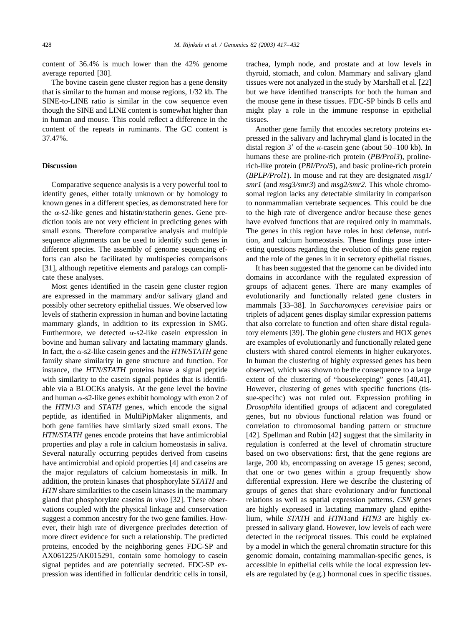content of 36.4% is much lower than the 42% genome average reported [\[30\]](#page-15-0).

The bovine casein gene cluster region has a gene density that is similar to the human and mouse regions, 1/32 kb. The SINE-to-LINE ratio is similar in the cow sequence even though the SINE and LINE content is somewhat higher than in human and mouse. This could reflect a difference in the content of the repeats in ruminants. The GC content is 37.47%.

# **Discussion**

Comparative sequence analysis is a very powerful tool to identify genes, either totally unknown or by homology to known genes in a different species, as demonstrated here for the  $\alpha$ -s2-like genes and histatin/statherin genes. Gene prediction tools are not very efficient in predicting genes with small exons. Therefore comparative analysis and multiple sequence alignments can be used to identify such genes in different species. The assembly of genome sequencing efforts can also be facilitated by multispecies comparisons [\[31\]](#page-15-0), although repetitive elements and paralogs can complicate these analyses.

Most genes identified in the casein gene cluster region are expressed in the mammary and/or salivary gland and possibly other secretory epithelial tissues. We observed low levels of statherin expression in human and bovine lactating mammary glands, in addition to its expression in SMG. Furthermore, we detected  $\alpha$ -s2-like casein expression in bovine and human salivary and lactating mammary glands. In fact, the  $\alpha$ -s2-like casein genes and the *HTN/STATH* gene family share similarity in gene structure and function. For instance, the *HTN/STATH* proteins have a signal peptide with similarity to the casein signal peptides that is identifiable via a BLOCKs analysis. At the gene level the bovine and human  $\alpha$ -s2-like genes exhibit homology with exon 2 of the *HTN1/3* and *STATH* genes, which encode the signal peptide, as identified in MultiPipMaker alignments, and both gene families have similarly sized small exons. The *HTN/STATH* genes encode proteins that have antimicrobial properties and play a role in calcium homeostasis in saliva. Several naturally occurring peptides derived from caseins have antimicrobial and opioid properties [\[4\]](#page-14-0) and caseins are the major regulators of calcium homeostasis in milk. In addition, the protein kinases that phosphorylate *STATH* and *HTN* share similarities to the casein kinases in the mammary gland that phosphorylate caseins *in vivo* [\[32\]](#page-15-0). These observations coupled with the physical linkage and conservation suggest a common ancestry for the two gene families. However, their high rate of divergence precludes detection of more direct evidence for such a relationship. The predicted proteins, encoded by the neighboring genes FDC-SP and AX061225/AK015291, contain some homology to casein signal peptides and are potentially secreted. FDC-SP expression was identified in follicular dendritic cells in tonsil,

trachea, lymph node, and prostate and at low levels in thyroid, stomach, and colon. Mammary and salivary gland tissues were not analyzed in the study by Marshall et al. [\[22\]](#page-14-0) but we have identified transcripts for both the human and the mouse gene in these tissues. FDC-SP binds B cells and might play a role in the immune response in epithelial tissues.

Another gene family that encodes secretory proteins expressed in the salivary and lachrymal gland is located in the distal region  $3'$  of the  $\kappa$ -casein gene (about  $50-100$  kb). In humans these are proline-rich protein (*PB/Prol3*), prolinerich-like protein (*PBI/Prol5*), and basic proline-rich protein (*BPLP/Prol1*). In mouse and rat they are designated *msg1/ smr1* (and *msg3/smr3*) and *msg2/smr2*. This whole chromosomal region lacks any detectable similarity in comparison to nonmammalian vertebrate sequences. This could be due to the high rate of divergence and/or because these genes have evolved functions that are required only in mammals. The genes in this region have roles in host defense, nutrition, and calcium homeostasis. These findings pose interesting questions regarding the evolution of this gene region and the role of the genes in it in secretory epithelial tissues.

It has been suggested that the genome can be divided into domains in accordance with the regulated expression of groups of adjacent genes. There are many examples of evolutionarily and functionally related gene clusters in mammals [\[33–38\].](#page-15-0) In *Saccharomyces cerevisiae* pairs or triplets of adjacent genes display similar expression patterns that also correlate to function and often share distal regulatory elements [\[39\]](#page-15-0). The globin gene clusters and HOX genes are examples of evolutionarily and functionally related gene clusters with shared control elements in higher eukaryotes. In human the clustering of highly expressed genes has been observed, which was shown to be the consequence to a large extent of the clustering of "housekeeping" genes [\[40,41\]](#page-15-0). However, clustering of genes with specific functions (tissue-specific) was not ruled out. Expression profiling in *Drosophila* identified groups of adjacent and coregulated genes, but no obvious functional relation was found or correlation to chromosomal banding pattern or structure [\[42\]](#page-15-0). Spellman and Rubin [\[42\]](#page-15-0) suggest that the similarity in regulation is conferred at the level of chromatin structure based on two observations: first, that the gene regions are large, 200 kb, encompassing on average 15 genes; second, that one or two genes within a group frequently show differential expression. Here we describe the clustering of groups of genes that share evolutionary and/or functional relations as well as spatial expression patterns. *CSN* genes are highly expressed in lactating mammary gland epithelium, while *STATH* and *HTN1*and *HTN3* are highly expressed in salivary gland. However, low levels of each were detected in the reciprocal tissues. This could be explained by a model in which the general chromatin structure for this genomic domain, containing mammalian-specific genes, is accessible in epithelial cells while the local expression levels are regulated by (e.g.) hormonal cues in specific tissues.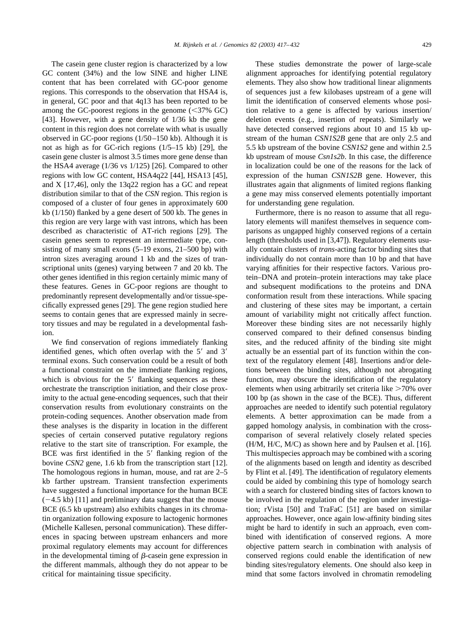The casein gene cluster region is characterized by a low GC content (34%) and the low SINE and higher LINE content that has been correlated with GC-poor genome regions. This corresponds to the observation that HSA4 is, in general, GC poor and that 4q13 has been reported to be among the GC-poorest regions in the genome  $(< 37\%$  GC) [\[43\]](#page-15-0). However, with a gene density of 1/36 kb the gene content in this region does not correlate with what is usually observed in GC-poor regions (1/50–150 kb). Although it is not as high as for GC-rich regions (1/5–15 kb) [\[29\],](#page-15-0) the casein gene cluster is almost 3.5 times more gene dense than the HSA4 average (1/36 vs 1/125) [\[26\]](#page-14-0). Compared to other regions with low GC content, HSA4q22 [\[44\]](#page-15-0), HSA13 [\[45\]](#page-15-0), and X [\[17,46\],](#page-14-0) only the 13q22 region has a GC and repeat distribution similar to that of the *CSN* region. This region is composed of a cluster of four genes in approximately 600 kb (1/150) flanked by a gene desert of 500 kb. The genes in this region are very large with vast introns, which has been described as characteristic of AT-rich regions [\[29\].](#page-15-0) The casein genes seem to represent an intermediate type, consisting of many small exons (5–19 exons, 21–500 bp) with intron sizes averaging around 1 kb and the sizes of transcriptional units (genes) varying between 7 and 20 kb. The other genes identified in this region certainly mimic many of these features. Genes in GC-poor regions are thought to predominantly represent developmentally and/or tissue-specifically expressed genes [\[29\]](#page-15-0). The gene region studied here seems to contain genes that are expressed mainly in secretory tissues and may be regulated in a developmental fashion.

We find conservation of regions immediately flanking identified genes, which often overlap with the 5' and 3' terminal exons. Such conservation could be a result of both a functional constraint on the immediate flanking regions, which is obvious for the  $5'$  flanking sequences as these orchestrate the transcription initiation, and their close proximity to the actual gene-encoding sequences, such that their conservation results from evolutionary constraints on the protein-coding sequences. Another observation made from these analyses is the disparity in location in the different species of certain conserved putative regulatory regions relative to the start site of transcription. For example, the BCE was first identified in the 5' flanking region of the bovine *CSN2* gene, 1.6 kb from the transcription start [\[12\]](#page-14-0). The homologous regions in human, mouse, and rat are 2–5 kb farther upstream. Transient transfection experiments have suggested a functional importance for the human BCE  $(-4.5 \text{ kb})$  [\[11\]](#page-14-0) and preliminary data suggest that the mouse BCE (6.5 kb upstream) also exhibits changes in its chromatin organization following exposure to lactogenic hormones (Michelle Kallesen, personal communication). These differences in spacing between upstream enhancers and more proximal regulatory elements may account for differences in the developmental timing of  $\beta$ -casein gene expression in the different mammals, although they do not appear to be critical for maintaining tissue specificity.

These studies demonstrate the power of large-scale alignment approaches for identifying potential regulatory elements. They also show how traditional linear alignments of sequences just a few kilobases upstream of a gene will limit the identification of conserved elements whose position relative to a gene is affected by various insertion/ deletion events (e.g., insertion of repeats). Similarly we have detected conserved regions about 10 and 15 kb upstream of the human *CSN1S2B* gene that are only 2.5 and 5.5 kb upstream of the bovine *CSN1S2* gene and within 2.5 kb upstream of mouse *Csn1s2b*. In this case, the difference in localization could be one of the reasons for the lack of expression of the human *CSN1S2B* gene. However, this illustrates again that alignments of limited regions flanking a gene may miss conserved elements potentially important for understanding gene regulation.

Furthermore, there is no reason to assume that all regulatory elements will manifest themselves in sequence comparisons as ungapped highly conserved regions of a certain length (thresholds used in [\[3,47\]](#page-14-0)). Regulatory elements usually contain clusters of *trans*-acting factor binding sites that individually do not contain more than 10 bp and that have varying affinities for their respective factors. Various protein–DNA and protein–protein interactions may take place and subsequent modifications to the proteins and DNA conformation result from these interactions. While spacing and clustering of these sites may be important, a certain amount of variability might not critically affect function. Moreover these binding sites are not necessarily highly conserved compared to their defined consensus binding sites, and the reduced affinity of the binding site might actually be an essential part of its function within the context of the regulatory element [\[48\].](#page-15-0) Insertions and/or deletions between the binding sites, although not abrogating function, may obscure the identification of the regulatory elements when using arbitrarily set criteria like >70% over 100 bp (as shown in the case of the BCE). Thus, different approaches are needed to identify such potential regulatory elements. A better approximation can be made from a gapped homology analysis, in combination with the crosscomparison of several relatively closely related species (H/M, H/C, M/C) as shown here and by Paulsen et al. [\[16\]](#page-14-0). This multispecies approach may be combined with a scoring of the alignments based on length and identity as described by Flint et al. [\[49\].](#page-15-0) The identification of regulatory elements could be aided by combining this type of homology search with a search for clustered binding sites of factors known to be involved in the regulation of the region under investigation; rVista [\[50\]](#page-15-0) and TraFaC [\[51\]](#page-15-0) are based on similar approaches. However, once again low-affinity binding sites might be hard to identify in such an approach, even combined with identification of conserved regions. A more objective pattern search in combination with analysis of conserved regions could enable the identification of new binding sites/regulatory elements. One should also keep in mind that some factors involved in chromatin remodeling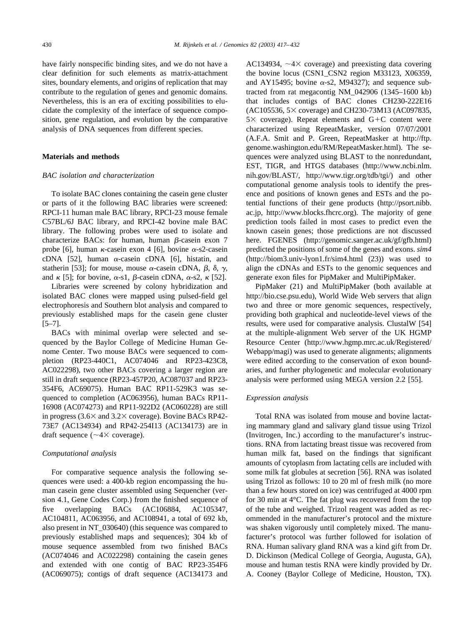have fairly nonspecific binding sites, and we do not have a clear definition for such elements as matrix-attachment sites, boundary elements, and origins of replication that may contribute to the regulation of genes and genomic domains. Nevertheless, this is an era of exciting possibilities to elucidate the complexity of the interface of sequence composition, gene regulation, and evolution by the comparative analysis of DNA sequences from different species.

# **Materials and methods**

### *BAC isolation and characterization*

To isolate BAC clones containing the casein gene cluster or parts of it the following BAC libraries were screened: RPCI-11 human male BAC library, RPCI-23 mouse female C57BL/6J BAC library, and RPCI-42 bovine male BAC library. The following probes were used to isolate and characterize BACs: for human, human  $\beta$ -casein exon 7 probe [\[6\],](#page-14-0) human  $\kappa$ -casein exon 4 [6], bovine  $\alpha$ -s2-casein cDNA [\[52\]](#page-15-0), human  $\alpha$ -casein cDNA [\[6\],](#page-14-0) histatin, and statherin [\[53\]](#page-15-0); for mouse, mouse  $\alpha$ -casein cDNA,  $\beta$ ,  $\delta$ ,  $\gamma$ , and  $\kappa$  [\[5\];](#page-14-0) for bovine,  $\alpha$ -s1,  $\beta$ -casein cDNA,  $\alpha$ -s2,  $\kappa$  [\[52\].](#page-15-0)

Libraries were screened by colony hybridization and isolated BAC clones were mapped using pulsed-field gel electrophoresis and Southern blot analysis and compared to previously established maps for the casein gene cluster  $[5-7]$ .

BACs with minimal overlap were selected and sequenced by the Baylor College of Medicine Human Genome Center. Two mouse BACs were sequenced to completion (RP23-440C1, AC074046 and RP23-423C8, AC022298), two other BACs covering a larger region are still in draft sequence (RP23-457P20, AC087037 and RP23- 354F6, AC69075). Human BAC RP11-529K3 was sequenced to completion (AC063956), human BACs RP11- 16908 (AC074273) and RP11-922D2 (AC060228) are still in progress (3.6 $\times$  and 3.2 $\times$  coverage). Bovine BACs RP42-73E7 (AC134934) and RP42-254I13 (AC134173) are in draft sequence ( $\sim$ 4 $\times$  coverage).

# *Computational analysis*

For comparative sequence analysis the following sequences were used: a 400-kb region encompassing the human casein gene cluster assembled using Sequencher (version 4.1, Gene Codes Corp.) from the finished sequence of five overlapping BACs (AC106884, AC105347, AC104811, AC063956, and AC108941, a total of 692 kb, also present in NT\_030640) (this sequence was compared to previously established maps and sequences); 304 kb of mouse sequence assembled from two finished BACs (AC074046 and AC022298) containing the casein genes and extended with one contig of BAC RP23-354F6 (AC069075); contigs of draft sequence (AC134173 and

AC134934,  $\sim$ 4 $\times$  coverage) and preexisting data covering the bovine locus (CSN1\_CSN2 region M33123, X06359, and AY15495; bovine  $\alpha$ -s2, M94327); and sequence subtracted from rat megacontig NM\_042906 (1345–1600 kb) that includes contigs of BAC clones CH230-222E16  $(AC105536, 5 \times$  coverage) and CH230-73M13 (AC097835,  $5 \times$  coverage). Repeat elements and  $G+C$  content were characterized using RepeatMasker, version 07/07/2001 (A.F.A. Smit and P. Green, RepeatMasker at [http://ftp.](http://ftp.genome.washington.edu/RM/RepeatMasker.html) [genome.washington.edu/RM/RepeatMasker.html\)](http://ftp.genome.washington.edu/RM/RepeatMasker.html). The sequences were analyzed using BLAST to the nonredundant, EST, TIGR, and HTGS databases ([http://www.ncbi.nlm.](http://www.ncbi.nlm.nih.gov/BLAST/) [nih.gov/BLAST/](http://www.ncbi.nlm.nih.gov/BLAST/), [http://www.tigr.org/tdb/tgi/\)](http://www.tigr.org/tdb/tgi/) and other computational genome analysis tools to identify the presence and positions of known genes and ESTs and the potential functions of their gene products [\(http://psort.nibb.](http://www.blocks.fhcrc.org) [ac.jp, http://www.blocks.fhcrc.org\)](http://www.blocks.fhcrc.org). The majority of gene prediction tools failed in most cases to predict even the known casein genes; those predictions are not discussed here. FGENES [\(http://genomic.sanger.ac.uk/gf/gfb.html](http://genomic.sanger.ac.uk/gf/gfb.html)) predicted the positions of some of the genes and exons. *sim4* [\(http://biom3.univ-lyon1.fr/sim4.html](http://biom3.univ-lyon1.fr/sim4.html) (23)) was used to align the cDNAs and ESTs to the genomic sequences and generate exon files for PipMaker and MultiPipMaker.

PipMaker (21) and MultiPipMaker (both available at [http://bio.cse.psu.edu\)](http://bio.cse.psu.edu), World Wide Web servers that align two and three or more genomic sequences, respectively, providing both graphical and nucleotide-level views of the results, were used for comparative analysis. ClustalW [\[54\]](#page-15-0) at the multiple-alignment Web server of the UK HGMP Resource Center ([http://www.hgmp.mrc.ac.uk/Registered/](http://www.hgmp.mrc.ac.uk/Registered/Webapp/magi) [Webapp/magi\)](http://www.hgmp.mrc.ac.uk/Registered/Webapp/magi) was used to generate alignments; alignments were edited according to the conservation of exon boundaries, and further phylogenetic and molecular evolutionary analysis were performed using MEGA version 2.2 [\[55\].](#page-15-0)

### *Expression analysis*

Total RNA was isolated from mouse and bovine lactating mammary gland and salivary gland tissue using Trizol (Invitrogen, Inc.) according to the manufacturer's instructions. RNA from lactating breast tissue was recovered from human milk fat, based on the findings that significant amounts of cytoplasm from lactating cells are included with some milk fat globules at secretion [\[56\].](#page-15-0) RNA was isolated using Trizol as follows: 10 to 20 ml of fresh milk (no more than a few hours stored on ice) was centrifuged at 4000 rpm for 30 min at 4°C. The fat plug was recovered from the top of the tube and weighed. Trizol reagent was added as recommended in the manufacturer's protocol and the mixture was shaken vigorously until completely mixed. The manufacturer's protocol was further followed for isolation of RNA. Human salivary gland RNA was a kind gift from Dr. D. Dickinson (Medical College of Georgia, Augusta, GA), mouse and human testis RNA were kindly provided by Dr. A. Cooney (Baylor College of Medicine, Houston, TX).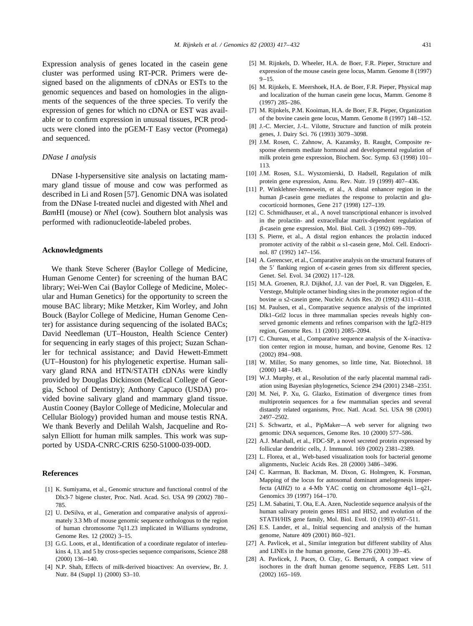<span id="page-14-0"></span>Expression analysis of genes located in the casein gene cluster was performed using RT-PCR. Primers were designed based on the alignments of cDNAs or ESTs to the genomic sequences and based on homologies in the alignments of the sequences of the three species. To verify the expression of genes for which no cDNA or EST was available or to confirm expression in unusual tissues, PCR products were cloned into the pGEM-T Easy vector (Promega) and sequenced.

#### *DNase I analysis*

DNase I-hypersensitive site analysis on lactating mammary gland tissue of mouse and cow was performed as described in Li and Rosen [\[57\].](#page-15-0) Genomic DNA was isolated from the DNase I-treated nuclei and digested with *Nhe*I and *Bam*HI (mouse) or *Nhe*I (cow). Southern blot analysis was performed with radionucleotide-labeled probes.

# **Acknowledgments**

We thank Steve Scherer (Baylor College of Medicine, Human Genome Center) for screening of the human BAC library; Wei-Wen Cai (Baylor College of Medicine, Molecular and Human Genetics) for the opportunity to screen the mouse BAC library; Mike Metzker, Kim Worley, and John Bouck (Baylor College of Medicine, Human Genome Center) for assistance during sequencing of the isolated BACs; David Needleman (UT–Houston, Health Science Center) for sequencing in early stages of this project; Suzan Schanler for technical assistance; and David Hewett-Emmett (UT–Houston) for his phylogenetic expertise. Human salivary gland RNA and HTN/STATH cDNAs were kindly provided by Douglas Dickinson (Medical College of Georgia, School of Dentistry); Anthony Capuco (USDA) provided bovine salivary gland and mammary gland tissue. Austin Cooney (Baylor College of Medicine, Molecular and Cellular Biology) provided human and mouse testis RNA. We thank Beverly and Delilah Walsh, Jacqueline and Rosalyn Elliott for human milk samples. This work was supported by USDA-CNRC-CRIS 6250-51000-039-00D.

### **References**

- [1] K. Sumiyama, et al., Genomic structure and functional control of the Dlx3-7 bigene cluster, Proc. Natl. Acad. Sci. USA 99 (2002) 780– 785.
- [2] U. DeSilva, et al., Generation and comparative analysis of approximately 3.3 Mb of mouse genomic sequence orthologous to the region of human chromosome 7q11.23 implicated in Williams syndrome, Genome Res. 12 (2002) 3–15.
- [3] G.G. Loots, et al., Identification of a coordinate regulator of interleukins 4, 13, and 5 by cross-species sequence comparisons, Science 288 (2000) 136–140.
- [4] N.P. Shah, Effects of milk-derived bioactives: An overview, Br. J. Nutr. 84 (Suppl 1) (2000) S3–10.
- [5] M. Rijnkels, D. Wheeler, H.A. de Boer, F.R. Pieper, Structure and expression of the mouse casein gene locus, Mamm. Genome 8 (1997)  $9 - 15$ .
- [6] M. Rijnkels, E. Meershoek, H.A. de Boer, F.R. Pieper, Physical map and localization of the human casein gene locus, Mamm. Genome 8 (1997) 285–286.
- [7] M. Rijnkels, P.M. Kooiman, H.A. de Boer, F.R. Pieper, Organization of the bovine casein gene locus, Mamm. Genome 8 (1997) 148–152.
- [8] J.-C. Mercier, J.-L. Vilotte, Structure and function of milk protein genes, J. Dairy Sci. 76 (1993) 3079–3098.
- [9] J.M. Rosen, C. Zahnow, A. Kazansky, B. Raught, Composite response elements mediate hormonal and developmental regulation of milk protein gene expression, Biochem. Soc. Symp. 63 (1998) 101– 113.
- [10] J.M. Rosen, S.L. Wyszomierski, D. Hadsell, Regulation of milk protein gene expression, Annu. Rev. Nutr. 19 (1999) 407–436.
- [11] P. Winklehner-Jennewein, et al., A distal enhancer region in the human  $\beta$ -casein gene mediates the response to prolactin and glucocorticoid hormones, Gene 217 (1998) 127–139.
- [12] C. Schmidhauser, et al., A novel transcriptional enhancer is involved in the prolactin- and extracellular matrix-dependent regulation of  $\beta$ -casein gene expression, Mol. Biol. Cell. 3 (1992) 699-709.
- [13] S. Pierre, et al., A distal region enhances the prolactin induced promoter activity of the rabbit  $\alpha$  s1-casein gene, Mol. Cell. Endocrinol. 87 (1992) 147–156.
- [14] A. Gerencser, et al., Comparative analysis on the structural features of the 5' flanking region of  $\kappa$ -casein genes from six different species, Genet. Sel. Evol. 34 (2002) 117–128.
- [15] M.A. Groenen, R.J. Dijkhof, J.J. van der Poel, R. van Diggelen, E. Verstege, Multiple octamer binding sites in the promoter region of the bovine  $\alpha$  s2-casein gene, Nucleic Acids Res. 20 (1992) 4311-4318.
- [16] M. Paulsen, et al., Comparative sequence analysis of the imprinted Dlk1–Gtl2 locus in three mammalian species reveals highly conserved genomic elements and refines comparison with the Igf2–H19 region, Genome Res. 11 (2001) 2085–2094.
- [17] C. Chureau, et al., Comparative sequence analysis of the X-inactivation center region in mouse, human, and bovine, Genome Res. 12 (2002) 894–908.
- [18] W. Miller, So many genomes, so little time, Nat. Biotechnol. 18 (2000) 148–149.
- [19] W.J. Murphy, et al., Resolution of the early placental mammal radiation using Bayesian phylogenetics, Science 294 (2001) 2348–2351.
- [20] M. Nei, P. Xu, G. Glazko, Estimation of divergence times from multiprotein sequences for a few mammalian species and several distantly related organisms, Proc. Natl. Acad. Sci. USA 98 (2001) 2497–2502.
- [21] S. Schwartz, et al., PipMaker—A web server for aligning two genomic DNA sequences, Genome Res. 10 (2000) 577–586.
- [22] A.J. Marshall, et al., FDC-SP, a novel secreted protein expressed by follicular dendritic cells, J. Immunol. 169 (2002) 2381–2389.
- [23] L. Florea, et al., Web-based visualization tools for bacterial genome alignments, Nucleic Acids Res. 28 (2000) 3486–3496.
- [24] C. Karrman, B. Backman, M. Dixon, G. Holmgren, K. Forsman, Mapping of the locus for autosomal dominant amelogenesis imperfecta (*AIH2*) to a 4-Mb YAC contig on chromosome 4q11–q21, Genomics 39 (1997) 164–170.
- [25] L.M. Sabatini, T. Ota, E.A. Azen, Nucleotide sequence analysis of the human salivary protein genes HIS1 and HIS2, and evolution of the STATH/HIS gene family, Mol. Biol. Evol. 10 (1993) 497–511.
- [26] E.S. Lander, et al., Initial sequencing and analysis of the human genome, Nature 409 (2001) 860–921.
- [27] A. Pavlicek, et al., Similar integration but different stability of Alus and LINEs in the human genome, Gene 276 (2001) 39–45.
- [28] A. Pavlicek, J. Paces, O. Clay, G. Bernardi, A compact view of isochores in the draft human genome sequence, FEBS Lett. 511 (2002) 165–169.